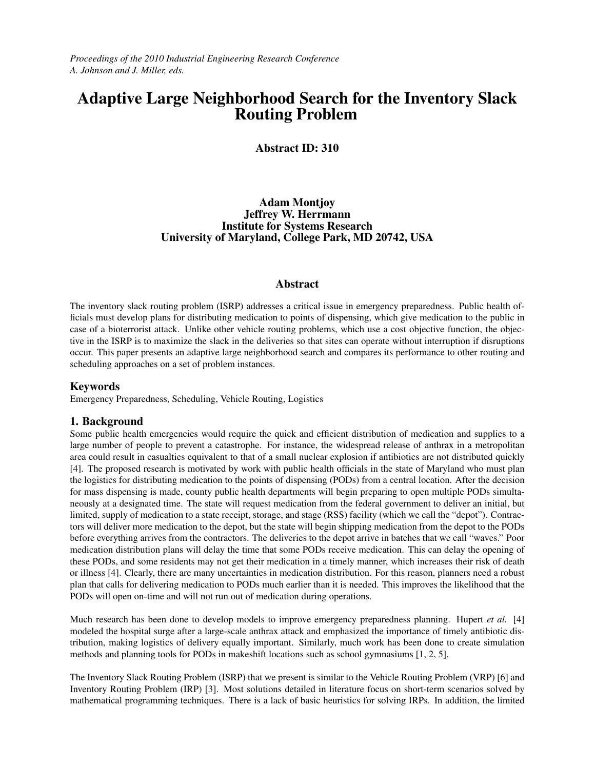*Proceedings of the 2010 Industrial Engineering Research Conference A. Johnson and J. Miller, eds.*

# Adaptive Large Neighborhood Search for the Inventory Slack Routing Problem

### Abstract ID: 310

### Adam Montjoy Jeffrey W. Herrmann Institute for Systems Research University of Maryland, College Park, MD 20742, USA

#### Abstract

The inventory slack routing problem (ISRP) addresses a critical issue in emergency preparedness. Public health officials must develop plans for distributing medication to points of dispensing, which give medication to the public in case of a bioterrorist attack. Unlike other vehicle routing problems, which use a cost objective function, the objective in the ISRP is to maximize the slack in the deliveries so that sites can operate without interruption if disruptions occur. This paper presents an adaptive large neighborhood search and compares its performance to other routing and scheduling approaches on a set of problem instances.

### Keywords

Emergency Preparedness, Scheduling, Vehicle Routing, Logistics

### 1. Background

Some public health emergencies would require the quick and efficient distribution of medication and supplies to a large number of people to prevent a catastrophe. For instance, the widespread release of anthrax in a metropolitan area could result in casualties equivalent to that of a small nuclear explosion if antibiotics are not distributed quickly [4]. The proposed research is motivated by work with public health officials in the state of Maryland who must plan the logistics for distributing medication to the points of dispensing (PODs) from a central location. After the decision for mass dispensing is made, county public health departments will begin preparing to open multiple PODs simultaneously at a designated time. The state will request medication from the federal government to deliver an initial, but limited, supply of medication to a state receipt, storage, and stage (RSS) facility (which we call the "depot"). Contractors will deliver more medication to the depot, but the state will begin shipping medication from the depot to the PODs before everything arrives from the contractors. The deliveries to the depot arrive in batches that we call "waves." Poor medication distribution plans will delay the time that some PODs receive medication. This can delay the opening of these PODs, and some residents may not get their medication in a timely manner, which increases their risk of death or illness [4]. Clearly, there are many uncertainties in medication distribution. For this reason, planners need a robust plan that calls for delivering medication to PODs much earlier than it is needed. This improves the likelihood that the PODs will open on-time and will not run out of medication during operations.

Much research has been done to develop models to improve emergency preparedness planning. Hupert *et al.* [4] modeled the hospital surge after a large-scale anthrax attack and emphasized the importance of timely antibiotic distribution, making logistics of delivery equally important. Similarly, much work has been done to create simulation methods and planning tools for PODs in makeshift locations such as school gymnasiums [1, 2, 5].

The Inventory Slack Routing Problem (ISRP) that we present is similar to the Vehicle Routing Problem (VRP) [6] and Inventory Routing Problem (IRP) [3]. Most solutions detailed in literature focus on short-term scenarios solved by mathematical programming techniques. There is a lack of basic heuristics for solving IRPs. In addition, the limited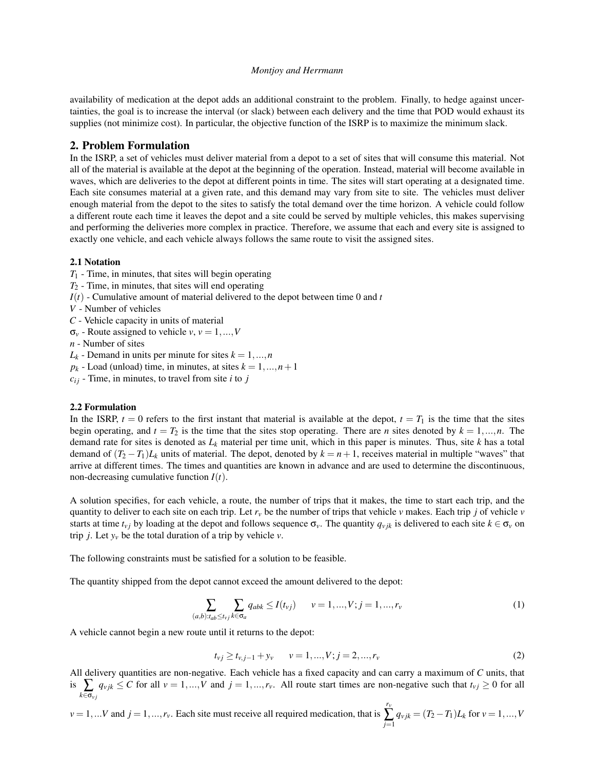availability of medication at the depot adds an additional constraint to the problem. Finally, to hedge against uncertainties, the goal is to increase the interval (or slack) between each delivery and the time that POD would exhaust its supplies (not minimize cost). In particular, the objective function of the ISRP is to maximize the minimum slack.

#### 2. Problem Formulation

In the ISRP, a set of vehicles must deliver material from a depot to a set of sites that will consume this material. Not all of the material is available at the depot at the beginning of the operation. Instead, material will become available in waves, which are deliveries to the depot at different points in time. The sites will start operating at a designated time. Each site consumes material at a given rate, and this demand may vary from site to site. The vehicles must deliver enough material from the depot to the sites to satisfy the total demand over the time horizon. A vehicle could follow a different route each time it leaves the depot and a site could be served by multiple vehicles, this makes supervising and performing the deliveries more complex in practice. Therefore, we assume that each and every site is assigned to exactly one vehicle, and each vehicle always follows the same route to visit the assigned sites.

#### 2.1 Notation

- *T*<sup>1</sup> Time, in minutes, that sites will begin operating
- *T*<sup>2</sup> Time, in minutes, that sites will end operating
- $I(t)$  Cumulative amount of material delivered to the depot between time 0 and *t*
- *V* Number of vehicles
- *C* Vehicle capacity in units of material
- $\sigma_v$  Route assigned to vehicle *v*,  $v = 1, ..., V$
- *n* Number of sites
- $L_k$  Demand in units per minute for sites  $k = 1, ..., n$
- $p_k$  Load (unload) time, in minutes, at sites  $k = 1, ..., n + 1$
- $c_{ij}$  Time, in minutes, to travel from site *i* to *j*

#### 2.2 Formulation

In the ISRP,  $t = 0$  refers to the first instant that material is available at the depot,  $t = T_1$  is the time that the sites begin operating, and  $t = T_2$  is the time that the sites stop operating. There are *n* sites denoted by  $k = 1, ..., n$ . The demand rate for sites is denoted as *L<sup>k</sup>* material per time unit, which in this paper is minutes. Thus, site *k* has a total demand of  $(T_2 - T_1)L_k$  units of material. The depot, denoted by  $k = n + 1$ , receives material in multiple "waves" that arrive at different times. The times and quantities are known in advance and are used to determine the discontinuous, non-decreasing cumulative function *I*(*t*).

A solution specifies, for each vehicle, a route, the number of trips that it makes, the time to start each trip, and the quantity to deliver to each site on each trip. Let  $r_v$  be the number of trips that vehicle  $v$  makes. Each trip *j* of vehicle  $v$ starts at time  $t_{\nu j}$  by loading at the depot and follows sequence  $\sigma_{\nu}$ . The quantity  $q_{\nu j k}$  is delivered to each site  $k \in \sigma_{\nu}$  on trip *j*. Let  $y_y$  be the total duration of a trip by vehicle  $v$ .

The following constraints must be satisfied for a solution to be feasible.

The quantity shipped from the depot cannot exceed the amount delivered to the depot:

$$
\sum_{(a,b):t_{ab}\le t_{vj}}\sum_{k\in\sigma_a}q_{abk}\le I(t_{vj})\qquad v=1,...,V; j=1,...,r_v
$$
\n(1)

A vehicle cannot begin a new route until it returns to the depot:

$$
t_{vj} \ge t_{v,j-1} + y_v \qquad v = 1, ..., V; j = 2, ..., r_v
$$
 (2)

All delivery quantities are non-negative. Each vehicle has a fixed capacity and can carry a maximum of *C* units, that is  $\sum_{k \in \sigma_{vj}}$  $q_{vjk} \leq C$  for all  $v = 1,...,V$  and  $j = 1,...,r_v$ . All route start times are non-negative such that  $t_{vj} \geq 0$  for all

$$
v = 1,...V
$$
 and  $j = 1,...,r_v$ . Each site must receive all required medication, that is  $\sum_{j=1}^{r_v} q_{vjk} = (T_2 - T_1)L_k$  for  $v = 1,...,V$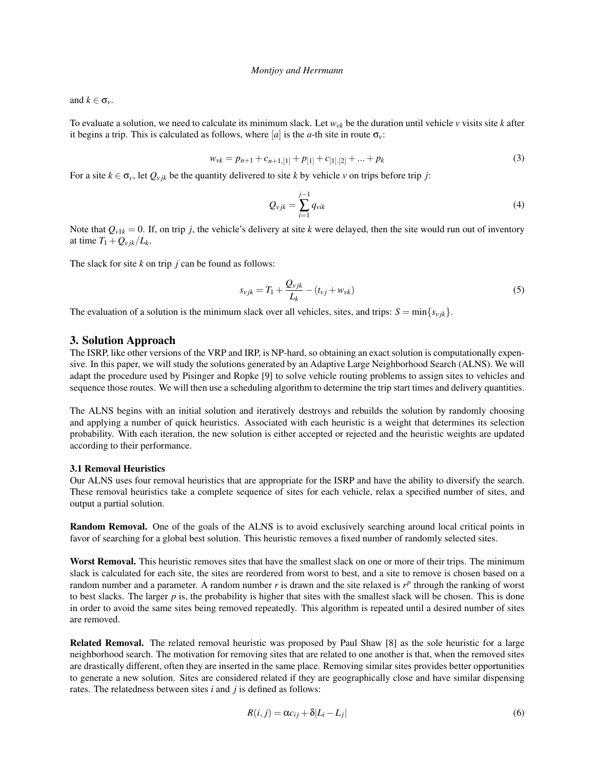and  $k \in \sigma_{\nu}$ .

To evaluate a solution, we need to calculate its minimum slack. Let  $w_{\nu k}$  be the duration until vehicle  $\nu$  visits site  $k$  after it begins a trip. This is calculated as follows, where  $[a]$  is the *a*-th site in route  $\sigma_v$ :

$$
w_{vk} = p_{n+1} + c_{n+1,[1]} + p_{[1]} + c_{[1],[2]} + \dots + p_k
$$
\n(3)

For a site  $k \in \sigma_v$ , let  $Q_{vjk}$  be the quantity delivered to site k by vehicle v on trips before trip *j*:

$$
Q_{vjk} = \sum_{i=1}^{j-1} q_{vik} \tag{4}
$$

Note that  $Q_{v1k} = 0$ . If, on trip *j*, the vehicle's delivery at site *k* were delayed, then the site would run out of inventory at time  $T_1 + Q_{\nu i k}/L_k$ .

The slack for site *k* on trip *j* can be found as follows:

$$
s_{vjk} = T_1 + \frac{Q_{vjk}}{L_k} - (t_{vj} + w_{vk})
$$
\n(5)

The evaluation of a solution is the minimum slack over all vehicles, sites, and trips:  $S = \min\{s_{vjk}\}.$ 

#### 3. Solution Approach

The ISRP, like other versions of the VRP and IRP, is NP-hard, so obtaining an exact solution is computationally expensive. In this paper, we will study the solutions generated by an Adaptive Large Neighborhood Search (ALNS). We will adapt the procedure used by Pisinger and Ropke [9] to solve vehicle routing problems to assign sites to vehicles and sequence those routes. We will then use a scheduling algorithm to determine the trip start times and delivery quantities.

The ALNS begins with an initial solution and iteratively destroys and rebuilds the solution by randomly choosing and applying a number of quick heuristics. Associated with each heuristic is a weight that determines its selection probability. With each iteration, the new solution is either accepted or rejected and the heuristic weights are updated according to their performance.

#### 3.1 Removal Heuristics

Our ALNS uses four removal heuristics that are appropriate for the ISRP and have the ability to diversify the search. These removal heuristics take a complete sequence of sites for each vehicle, relax a specified number of sites, and output a partial solution.

Random Removal. One of the goals of the ALNS is to avoid exclusively searching around local critical points in favor of searching for a global best solution. This heuristic removes a fixed number of randomly selected sites.

Worst Removal. This heuristic removes sites that have the smallest slack on one or more of their trips. The minimum slack is calculated for each site, the sites are reordered from worst to best, and a site to remove is chosen based on a random number and a parameter. A random number  $r$  is drawn and the site relaxed is  $r^p$  through the ranking of worst to best slacks. The larger  $p$  is, the probability is higher that sites with the smallest slack will be chosen. This is done in order to avoid the same sites being removed repeatedly. This algorithm is repeated until a desired number of sites are removed.

Related Removal. The related removal heuristic was proposed by Paul Shaw [8] as the sole heuristic for a large neighborhood search. The motivation for removing sites that are related to one another is that, when the removed sites are drastically different, often they are inserted in the same place. Removing similar sites provides better opportunities to generate a new solution. Sites are considered related if they are geographically close and have similar dispensing rates. The relatedness between sites *i* and *j* is defined as follows:

$$
R(i, j) = \alpha c_{ij} + \delta |L_i - L_j|
$$
\n(6)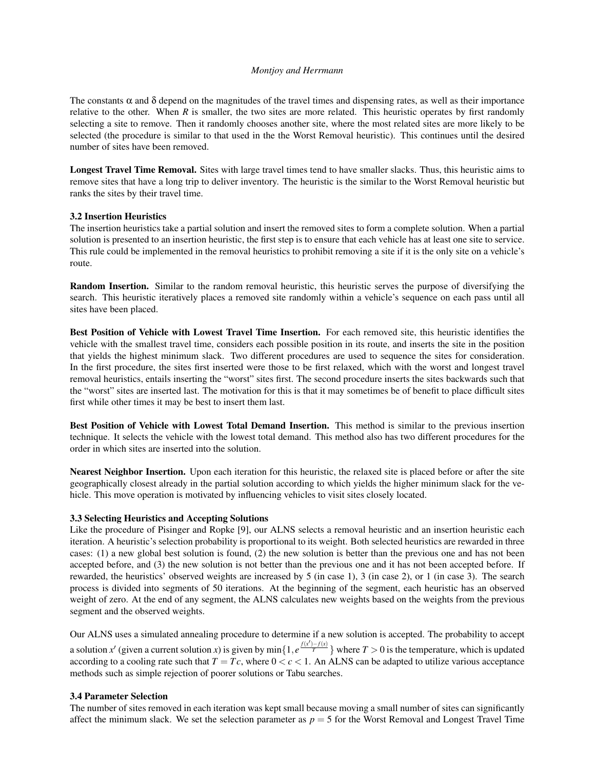The constants  $\alpha$  and  $\delta$  depend on the magnitudes of the travel times and dispensing rates, as well as their importance relative to the other. When  $R$  is smaller, the two sites are more related. This heuristic operates by first randomly selecting a site to remove. Then it randomly chooses another site, where the most related sites are more likely to be selected (the procedure is similar to that used in the the Worst Removal heuristic). This continues until the desired number of sites have been removed.

Longest Travel Time Removal. Sites with large travel times tend to have smaller slacks. Thus, this heuristic aims to remove sites that have a long trip to deliver inventory. The heuristic is the similar to the Worst Removal heuristic but ranks the sites by their travel time.

#### 3.2 Insertion Heuristics

The insertion heuristics take a partial solution and insert the removed sites to form a complete solution. When a partial solution is presented to an insertion heuristic, the first step is to ensure that each vehicle has at least one site to service. This rule could be implemented in the removal heuristics to prohibit removing a site if it is the only site on a vehicle's route.

Random Insertion. Similar to the random removal heuristic, this heuristic serves the purpose of diversifying the search. This heuristic iteratively places a removed site randomly within a vehicle's sequence on each pass until all sites have been placed.

Best Position of Vehicle with Lowest Travel Time Insertion. For each removed site, this heuristic identifies the vehicle with the smallest travel time, considers each possible position in its route, and inserts the site in the position that yields the highest minimum slack. Two different procedures are used to sequence the sites for consideration. In the first procedure, the sites first inserted were those to be first relaxed, which with the worst and longest travel removal heuristics, entails inserting the "worst" sites first. The second procedure inserts the sites backwards such that the "worst" sites are inserted last. The motivation for this is that it may sometimes be of benefit to place difficult sites first while other times it may be best to insert them last.

Best Position of Vehicle with Lowest Total Demand Insertion. This method is similar to the previous insertion technique. It selects the vehicle with the lowest total demand. This method also has two different procedures for the order in which sites are inserted into the solution.

Nearest Neighbor Insertion. Upon each iteration for this heuristic, the relaxed site is placed before or after the site geographically closest already in the partial solution according to which yields the higher minimum slack for the vehicle. This move operation is motivated by influencing vehicles to visit sites closely located.

#### 3.3 Selecting Heuristics and Accepting Solutions

Like the procedure of Pisinger and Ropke [9], our ALNS selects a removal heuristic and an insertion heuristic each iteration. A heuristic's selection probability is proportional to its weight. Both selected heuristics are rewarded in three cases: (1) a new global best solution is found, (2) the new solution is better than the previous one and has not been accepted before, and (3) the new solution is not better than the previous one and it has not been accepted before. If rewarded, the heuristics' observed weights are increased by 5 (in case 1), 3 (in case 2), or 1 (in case 3). The search process is divided into segments of 50 iterations. At the beginning of the segment, each heuristic has an observed weight of zero. At the end of any segment, the ALNS calculates new weights based on the weights from the previous segment and the observed weights.

Our ALNS uses a simulated annealing procedure to determine if a new solution is accepted. The probability to accept a solution *x'* (given a current solution *x*) is given by min{ $1, e^{\frac{f(x')-f(x)}{T}}$ } where  $T > 0$  is the temperature, which is updated according to a cooling rate such that  $T = Tc$ , where  $0 < c < 1$ . An ALNS can be adapted to utilize various acceptance methods such as simple rejection of poorer solutions or Tabu searches.

#### 3.4 Parameter Selection

The number of sites removed in each iteration was kept small because moving a small number of sites can significantly affect the minimum slack. We set the selection parameter as  $p = 5$  for the Worst Removal and Longest Travel Time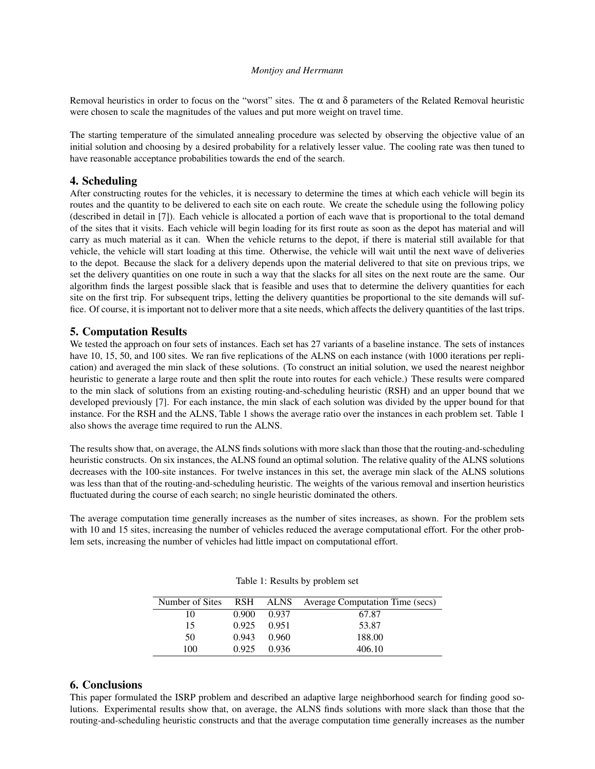Removal heuristics in order to focus on the "worst" sites. The  $\alpha$  and  $\delta$  parameters of the Related Removal heuristic were chosen to scale the magnitudes of the values and put more weight on travel time.

The starting temperature of the simulated annealing procedure was selected by observing the objective value of an initial solution and choosing by a desired probability for a relatively lesser value. The cooling rate was then tuned to have reasonable acceptance probabilities towards the end of the search.

### 4. Scheduling

After constructing routes for the vehicles, it is necessary to determine the times at which each vehicle will begin its routes and the quantity to be delivered to each site on each route. We create the schedule using the following policy (described in detail in [7]). Each vehicle is allocated a portion of each wave that is proportional to the total demand of the sites that it visits. Each vehicle will begin loading for its first route as soon as the depot has material and will carry as much material as it can. When the vehicle returns to the depot, if there is material still available for that vehicle, the vehicle will start loading at this time. Otherwise, the vehicle will wait until the next wave of deliveries to the depot. Because the slack for a delivery depends upon the material delivered to that site on previous trips, we set the delivery quantities on one route in such a way that the slacks for all sites on the next route are the same. Our algorithm finds the largest possible slack that is feasible and uses that to determine the delivery quantities for each site on the first trip. For subsequent trips, letting the delivery quantities be proportional to the site demands will suffice. Of course, it is important not to deliver more that a site needs, which affects the delivery quantities of the last trips.

### 5. Computation Results

We tested the approach on four sets of instances. Each set has 27 variants of a baseline instance. The sets of instances have 10, 15, 50, and 100 sites. We ran five replications of the ALNS on each instance (with 1000 iterations per replication) and averaged the min slack of these solutions. (To construct an initial solution, we used the nearest neighbor heuristic to generate a large route and then split the route into routes for each vehicle.) These results were compared to the min slack of solutions from an existing routing-and-scheduling heuristic (RSH) and an upper bound that we developed previously [7]. For each instance, the min slack of each solution was divided by the upper bound for that instance. For the RSH and the ALNS, Table 1 shows the average ratio over the instances in each problem set. Table 1 also shows the average time required to run the ALNS.

The results show that, on average, the ALNS finds solutions with more slack than those that the routing-and-scheduling heuristic constructs. On six instances, the ALNS found an optimal solution. The relative quality of the ALNS solutions decreases with the 100-site instances. For twelve instances in this set, the average min slack of the ALNS solutions was less than that of the routing-and-scheduling heuristic. The weights of the various removal and insertion heuristics fluctuated during the course of each search; no single heuristic dominated the others.

The average computation time generally increases as the number of sites increases, as shown. For the problem sets with 10 and 15 sites, increasing the number of vehicles reduced the average computational effort. For the other problem sets, increasing the number of vehicles had little impact on computational effort.

| Number of Sites |       |       | RSH ALNS Average Computation Time (secs) |
|-----------------|-------|-------|------------------------------------------|
| 10              | 0.900 | 0.937 | 67.87                                    |
| 15              | 0.925 | 0.951 | 53.87                                    |
| 50              | 0.943 | 0.960 | 188.00                                   |
| 100             | 0.925 | 0.936 | 406.10                                   |

#### Table 1: Results by problem set

### 6. Conclusions

This paper formulated the ISRP problem and described an adaptive large neighborhood search for finding good solutions. Experimental results show that, on average, the ALNS finds solutions with more slack than those that the routing-and-scheduling heuristic constructs and that the average computation time generally increases as the number